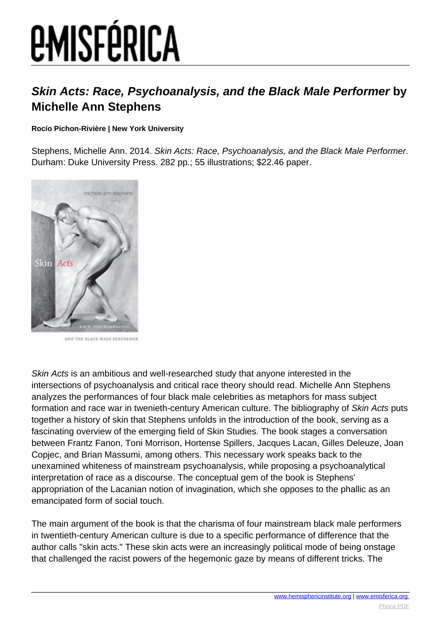# *EMISFÉRICA*

### **Skin Acts: Race, Psychoanalysis, and the Black Male Performer by Michelle Ann Stephens**

#### **Rocío Pichon-Rivière | New York University**

Stephens, Michelle Ann. 2014. Skin Acts: Race, Psychoanalysis, and the Black Male Performer. Durham: Duke University Press. 282 pp.; 55 illustrations; \$22.46 paper.



AND THE BLACK MALE PERFORMED

Skin Acts is an ambitious and well-researched study that anyone interested in the intersections of psychoanalysis and critical race theory should read. Michelle Ann Stephens analyzes the performances of four black male celebrities as metaphors for mass subject formation and race war in twenieth-century American culture. The bibliography of Skin Acts puts together a history of skin that Stephens unfolds in the introduction of the book, serving as a fascinating overview of the emerging field of Skin Studies. The book stages a conversation between Frantz Fanon, Toni Morrison, Hortense Spillers, Jacques Lacan, Gilles Deleuze, Joan Copjec, and Brian Massumi, among others. This necessary work speaks back to the unexamined whiteness of mainstream psychoanalysis, while proposing a psychoanalytical interpretation of race as a discourse. The conceptual gem of the book is Stephens' appropriation of the Lacanian notion of invagination, which she opposes to the phallic as an emancipated form of social touch.

The main argument of the book is that the charisma of four mainstream black male performers in twentieth-century American culture is due to a specific performance of difference that the author calls "skin acts." These skin acts were an increasingly political mode of being onstage that challenged the racist powers of the hegemonic gaze by means of different tricks. The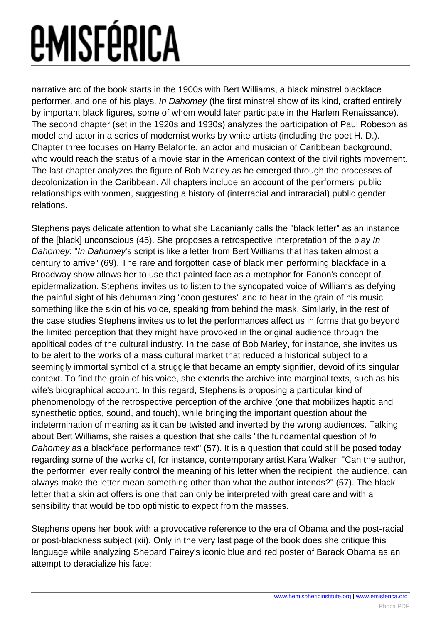## *EMISFÉRICA*

narrative arc of the book starts in the 1900s with Bert Williams, a black minstrel blackface performer, and one of his plays, In Dahomey (the first minstrel show of its kind, crafted entirely by important black figures, some of whom would later participate in the Harlem Renaissance). The second chapter (set in the 1920s and 1930s) analyzes the participation of Paul Robeson as model and actor in a series of modernist works by white artists (including the poet H. D.). Chapter three focuses on Harry Belafonte, an actor and musician of Caribbean background, who would reach the status of a movie star in the American context of the civil rights movement. The last chapter analyzes the figure of Bob Marley as he emerged through the processes of decolonization in the Caribbean. All chapters include an account of the performers' public relationships with women, suggesting a history of (interracial and intraracial) public gender relations.

Stephens pays delicate attention to what she Lacanianly calls the "black letter" as an instance of the [black] unconscious (45). She proposes a retrospective interpretation of the play In Dahomey: "In Dahomey's script is like a letter from Bert Williams that has taken almost a century to arrive" (69). The rare and forgotten case of black men performing blackface in a Broadway show allows her to use that painted face as a metaphor for Fanon's concept of epidermalization. Stephens invites us to listen to the syncopated voice of Williams as defying the painful sight of his dehumanizing "coon gestures" and to hear in the grain of his music something like the skin of his voice, speaking from behind the mask. Similarly, in the rest of the case studies Stephens invites us to let the performances affect us in forms that go beyond the limited perception that they might have provoked in the original audience through the apolitical codes of the cultural industry. In the case of Bob Marley, for instance, she invites us to be alert to the works of a mass cultural market that reduced a historical subject to a seemingly immortal symbol of a struggle that became an empty signifier, devoid of its singular context. To find the grain of his voice, she extends the archive into marginal texts, such as his wife's biographical account. In this regard, Stephens is proposing a particular kind of phenomenology of the retrospective perception of the archive (one that mobilizes haptic and synesthetic optics, sound, and touch), while bringing the important question about the indetermination of meaning as it can be twisted and inverted by the wrong audiences. Talking about Bert Williams, she raises a question that she calls "the fundamental question of In Dahomey as a blackface performance text" (57). It is a question that could still be posed today regarding some of the works of, for instance, contemporary artist Kara Walker: "Can the author, the performer, ever really control the meaning of his letter when the recipient, the audience, can always make the letter mean something other than what the author intends?" (57). The black letter that a skin act offers is one that can only be interpreted with great care and with a sensibility that would be too optimistic to expect from the masses.

Stephens opens her book with a provocative reference to the era of Obama and the post-racial or post-blackness subject (xii). Only in the very last page of the book does she critique this language while analyzing Shepard Fairey's iconic blue and red poster of Barack Obama as an attempt to deracialize his face: